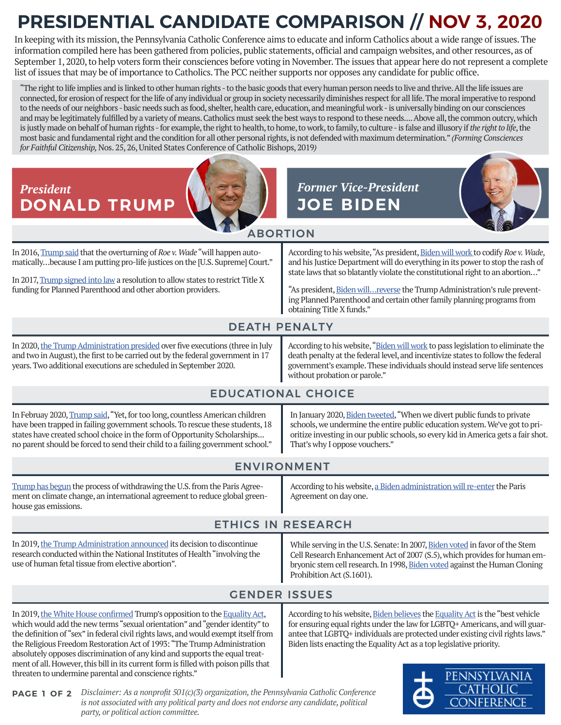## **PRESIDENTIAL CANDIDATE COMPARISON // NOV 3, 2020**

In keeping with its mission, the Pennsylvania Catholic Conference aims to educate and inform Catholics about a wide range of issues. The information compiled here has been gathered from policies, public statements, official and campaign websites, and other resources, as of September 1, 2020, to help voters form their consciences before voting in November. The issues that appear here do not represent a complete list of issues that may be of importance to Catholics. The PCC neither supports nor opposes any candidate for public office.

"The right to life implies and is linked to other human rights - to the basic goods that every human person needs to live and thrive. All the life issues are connected, for erosion of respect for the life of any individual or group in society necessarily diminishes respect for all life. The moral imperative to respond to the needs of our neighbors - basic needs such as food, shelter, health care, education, and meaningful work - is universally binding on our consciences and may be legitimately fulfilled by a variety of means. Catholics must seek the best ways to respond to these needs.... Above all, the common outcry, which is justly made on behalf of human rights - for example, the right to health, to home, to work, to family, to culture - is false and illusory if the right to life, the most basic and fundamental right and the condition for all other personal rights,is not defended with maximum determination." *(Forming Consciences for Faithful Citizenship,*Nos. 25, 26, United States Conference of Catholic Bishops, 2019*)* 



ONFERENCE

*Disclaimer: As a nonprofit 501(c)(3) organization, the Pennsylvania Catholic Conference*  **PAGE 1 OF 2** *is not associated with any political party and does not endorse any candidate, political party, or political action committee.*